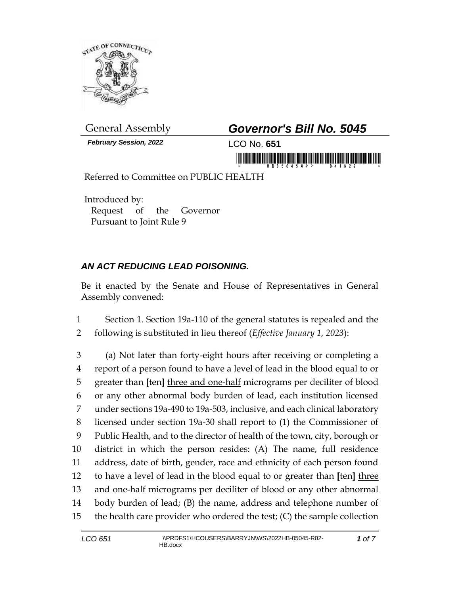

*February Session, 2022* LCO No. **651**

## General Assembly *Governor's Bill No. 5045*

in morning the finite in the second interest.

Referred to Committee on PUBLIC HEALTH

Introduced by: Request of the Governor Pursuant to Joint Rule 9

## *AN ACT REDUCING LEAD POISONING.*

Be it enacted by the Senate and House of Representatives in General Assembly convened:

1 Section 1. Section 19a-110 of the general statutes is repealed and the 2 following is substituted in lieu thereof (*Effective January 1, 2023*):

 (a) Not later than forty-eight hours after receiving or completing a report of a person found to have a level of lead in the blood equal to or greater than **[**ten**]** three and one-half micrograms per deciliter of blood or any other abnormal body burden of lead, each institution licensed under sections 19a-490 to 19a-503, inclusive, and each clinical laboratory licensed under section 19a-30 shall report to (1) the Commissioner of Public Health, and to the director of health of the town, city, borough or district in which the person resides: (A) The name, full residence address, date of birth, gender, race and ethnicity of each person found to have a level of lead in the blood equal to or greater than **[**ten**]** three 13 and one-half micrograms per deciliter of blood or any other abnormal body burden of lead; (B) the name, address and telephone number of the health care provider who ordered the test; (C) the sample collection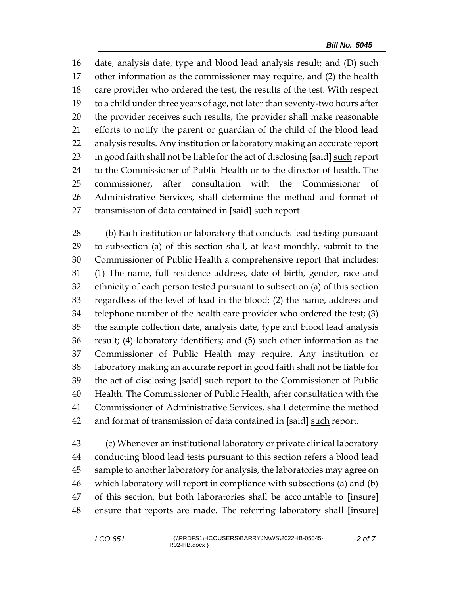date, analysis date, type and blood lead analysis result; and (D) such other information as the commissioner may require, and (2) the health care provider who ordered the test, the results of the test. With respect to a child under three years of age, not later than seventy-two hours after the provider receives such results, the provider shall make reasonable efforts to notify the parent or guardian of the child of the blood lead analysis results. Any institution or laboratory making an accurate report in good faith shall not be liable for the act of disclosing **[**said**]** such report to the Commissioner of Public Health or to the director of health. The 25 commissioner, after consultation with the Commissioner Administrative Services, shall determine the method and format of transmission of data contained in **[**said**]** such report.

 (b) Each institution or laboratory that conducts lead testing pursuant to subsection (a) of this section shall, at least monthly, submit to the Commissioner of Public Health a comprehensive report that includes: (1) The name, full residence address, date of birth, gender, race and ethnicity of each person tested pursuant to subsection (a) of this section regardless of the level of lead in the blood; (2) the name, address and telephone number of the health care provider who ordered the test; (3) the sample collection date, analysis date, type and blood lead analysis result; (4) laboratory identifiers; and (5) such other information as the Commissioner of Public Health may require. Any institution or laboratory making an accurate report in good faith shall not be liable for the act of disclosing **[**said**]** such report to the Commissioner of Public Health. The Commissioner of Public Health, after consultation with the Commissioner of Administrative Services, shall determine the method and format of transmission of data contained in **[**said**]** such report.

 (c) Whenever an institutional laboratory or private clinical laboratory conducting blood lead tests pursuant to this section refers a blood lead sample to another laboratory for analysis, the laboratories may agree on which laboratory will report in compliance with subsections (a) and (b) of this section, but both laboratories shall be accountable to **[**insure**]** ensure that reports are made. The referring laboratory shall **[**insure**]**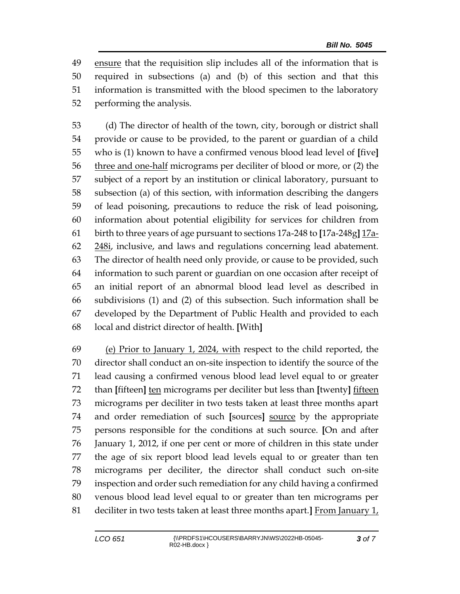ensure that the requisition slip includes all of the information that is required in subsections (a) and (b) of this section and that this information is transmitted with the blood specimen to the laboratory performing the analysis.

 (d) The director of health of the town, city, borough or district shall provide or cause to be provided, to the parent or guardian of a child who is (1) known to have a confirmed venous blood lead level of **[**five**]** 56 three and one-half micrograms per deciliter of blood or more, or (2) the subject of a report by an institution or clinical laboratory, pursuant to subsection (a) of this section, with information describing the dangers of lead poisoning, precautions to reduce the risk of lead poisoning, information about potential eligibility for services for children from birth to three years of age pursuant to sections 17a-248 to **[**17a-248g**]** 17a-62 248i, inclusive, and laws and regulations concerning lead abatement. The director of health need only provide, or cause to be provided, such information to such parent or guardian on one occasion after receipt of an initial report of an abnormal blood lead level as described in subdivisions (1) and (2) of this subsection. Such information shall be developed by the Department of Public Health and provided to each local and district director of health. **[**With**]**

 (e) Prior to January 1, 2024, with respect to the child reported, the director shall conduct an on-site inspection to identify the source of the lead causing a confirmed venous blood lead level equal to or greater than **[**fifteen**]** ten micrograms per deciliter but less than **[**twenty**]** fifteen micrograms per deciliter in two tests taken at least three months apart and order remediation of such **[**sources**]** source by the appropriate persons responsible for the conditions at such source. **[**On and after January 1, 2012, if one per cent or more of children in this state under the age of six report blood lead levels equal to or greater than ten micrograms per deciliter, the director shall conduct such on-site inspection and order such remediation for any child having a confirmed venous blood lead level equal to or greater than ten micrograms per deciliter in two tests taken at least three months apart.**]** From January 1,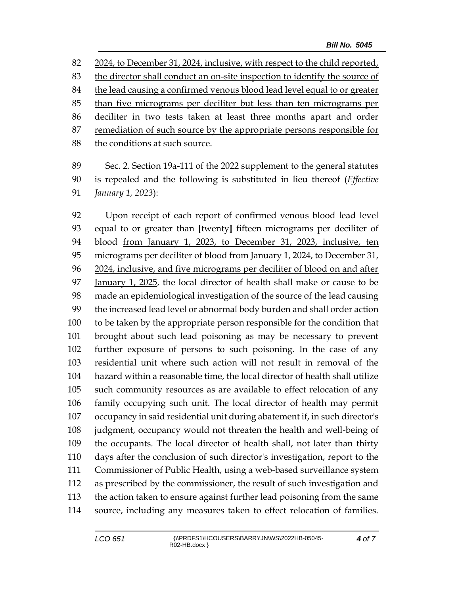2024, to December 31, 2024, inclusive, with respect to the child reported, the director shall conduct an on-site inspection to identify the source of the lead causing a confirmed venous blood lead level equal to or greater than five micrograms per deciliter but less than ten micrograms per deciliter in two tests taken at least three months apart and order 87 remediation of such source by the appropriate persons responsible for 88 the conditions at such source.

 Sec. 2. Section 19a-111 of the 2022 supplement to the general statutes is repealed and the following is substituted in lieu thereof (*Effective January 1, 2023*):

 Upon receipt of each report of confirmed venous blood lead level equal to or greater than **[**twenty**]** fifteen micrograms per deciliter of blood from January 1, 2023, to December 31, 2023, inclusive, ten 95 micrograms per deciliter of blood from January 1, 2024, to December 31, 2024, inclusive, and five micrograms per deciliter of blood on and after January 1, 2025, the local director of health shall make or cause to be made an epidemiological investigation of the source of the lead causing the increased lead level or abnormal body burden and shall order action to be taken by the appropriate person responsible for the condition that brought about such lead poisoning as may be necessary to prevent further exposure of persons to such poisoning. In the case of any residential unit where such action will not result in removal of the hazard within a reasonable time, the local director of health shall utilize such community resources as are available to effect relocation of any family occupying such unit. The local director of health may permit occupancy in said residential unit during abatement if, in such director's judgment, occupancy would not threaten the health and well-being of the occupants. The local director of health shall, not later than thirty days after the conclusion of such director's investigation, report to the Commissioner of Public Health, using a web-based surveillance system as prescribed by the commissioner, the result of such investigation and the action taken to ensure against further lead poisoning from the same source, including any measures taken to effect relocation of families.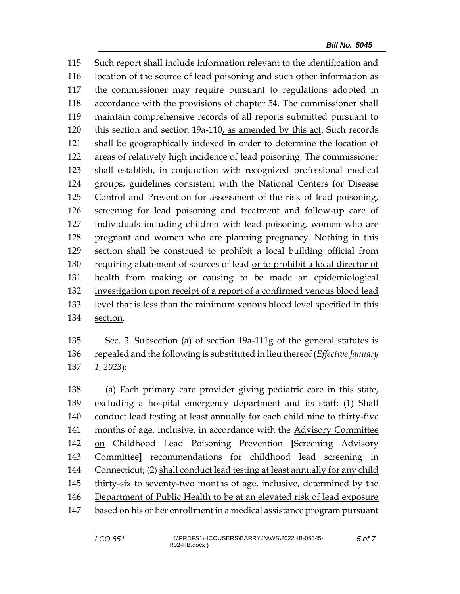Such report shall include information relevant to the identification and location of the source of lead poisoning and such other information as the commissioner may require pursuant to regulations adopted in accordance with the provisions of chapter 54. The commissioner shall maintain comprehensive records of all reports submitted pursuant to this section and section 19a-110, as amended by this act. Such records shall be geographically indexed in order to determine the location of areas of relatively high incidence of lead poisoning. The commissioner shall establish, in conjunction with recognized professional medical groups, guidelines consistent with the National Centers for Disease Control and Prevention for assessment of the risk of lead poisoning, screening for lead poisoning and treatment and follow-up care of individuals including children with lead poisoning, women who are pregnant and women who are planning pregnancy. Nothing in this section shall be construed to prohibit a local building official from requiring abatement of sources of lead or to prohibit a local director of health from making or causing to be made an epidemiological investigation upon receipt of a report of a confirmed venous blood lead level that is less than the minimum venous blood level specified in this section.

 Sec. 3. Subsection (a) of section 19a-111g of the general statutes is repealed and the following is substituted in lieu thereof (*Effective January 1, 2023*):

 (a) Each primary care provider giving pediatric care in this state, excluding a hospital emergency department and its staff: (1) Shall conduct lead testing at least annually for each child nine to thirty-five months of age, inclusive, in accordance with the Advisory Committee on Childhood Lead Poisoning Prevention **[**Screening Advisory Committee**]** recommendations for childhood lead screening in Connecticut; (2) shall conduct lead testing at least annually for any child thirty-six to seventy-two months of age, inclusive, determined by the Department of Public Health to be at an elevated risk of lead exposure based on his or her enrollment in a medical assistance program pursuant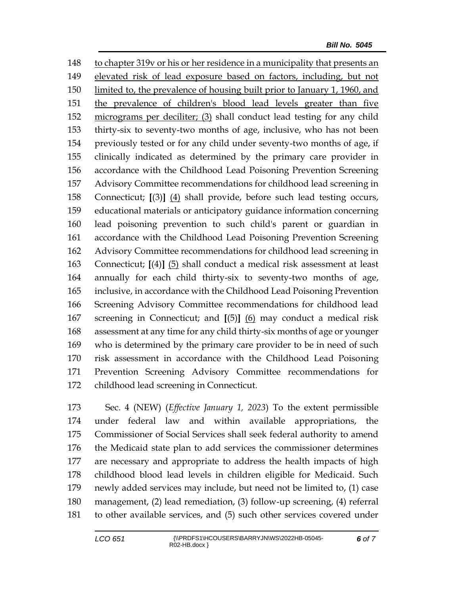to chapter 319v or his or her residence in a municipality that presents an elevated risk of lead exposure based on factors, including, but not limited to, the prevalence of housing built prior to January 1, 1960, and the prevalence of children's blood lead levels greater than five micrograms per deciliter; (3) shall conduct lead testing for any child thirty-six to seventy-two months of age, inclusive, who has not been previously tested or for any child under seventy-two months of age, if clinically indicated as determined by the primary care provider in accordance with the Childhood Lead Poisoning Prevention Screening Advisory Committee recommendations for childhood lead screening in Connecticut; **[**(3)**]** (4) shall provide, before such lead testing occurs, educational materials or anticipatory guidance information concerning lead poisoning prevention to such child's parent or guardian in accordance with the Childhood Lead Poisoning Prevention Screening Advisory Committee recommendations for childhood lead screening in Connecticut; **[**(4)**]** (5) shall conduct a medical risk assessment at least annually for each child thirty-six to seventy-two months of age, inclusive, in accordance with the Childhood Lead Poisoning Prevention Screening Advisory Committee recommendations for childhood lead screening in Connecticut; and **[**(5)**]** (6) may conduct a medical risk assessment at any time for any child thirty-six months of age or younger who is determined by the primary care provider to be in need of such risk assessment in accordance with the Childhood Lead Poisoning Prevention Screening Advisory Committee recommendations for childhood lead screening in Connecticut.

 Sec. 4 (NEW) (*Effective January 1, 2023*) To the extent permissible under federal law and within available appropriations, the Commissioner of Social Services shall seek federal authority to amend the Medicaid state plan to add services the commissioner determines are necessary and appropriate to address the health impacts of high childhood blood lead levels in children eligible for Medicaid. Such newly added services may include, but need not be limited to, (1) case management, (2) lead remediation, (3) follow-up screening, (4) referral to other available services, and (5) such other services covered under